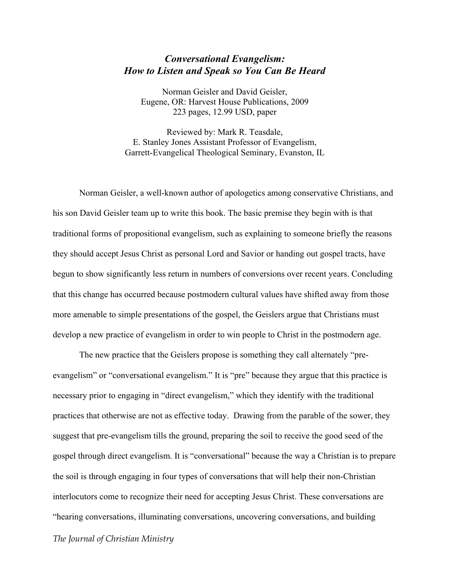## *Conversational Evangelism: How to Listen and Speak so You Can Be Heard*

Norman Geisler and David Geisler, Eugene, OR: Harvest House Publications, 2009 223 pages, 12.99 USD, paper

Reviewed by: Mark R. Teasdale, E. Stanley Jones Assistant Professor of Evangelism, Garrett-Evangelical Theological Seminary, Evanston, IL

Norman Geisler, a well-known author of apologetics among conservative Christians, and his son David Geisler team up to write this book. The basic premise they begin with is that traditional forms of propositional evangelism, such as explaining to someone briefly the reasons they should accept Jesus Christ as personal Lord and Savior or handing out gospel tracts, have begun to show significantly less return in numbers of conversions over recent years. Concluding that this change has occurred because postmodern cultural values have shifted away from those more amenable to simple presentations of the gospel, the Geislers argue that Christians must develop a new practice of evangelism in order to win people to Christ in the postmodern age.

The new practice that the Geislers propose is something they call alternately "preevangelism" or "conversational evangelism." It is "pre" because they argue that this practice is necessary prior to engaging in "direct evangelism," which they identify with the traditional practices that otherwise are not as effective today. Drawing from the parable of the sower, they suggest that pre-evangelism tills the ground, preparing the soil to receive the good seed of the gospel through direct evangelism. It is "conversational" because the way a Christian is to prepare the soil is through engaging in four types of conversations that will help their non-Christian interlocutors come to recognize their need for accepting Jesus Christ. These conversations are "hearing conversations, illuminating conversations, uncovering conversations, and building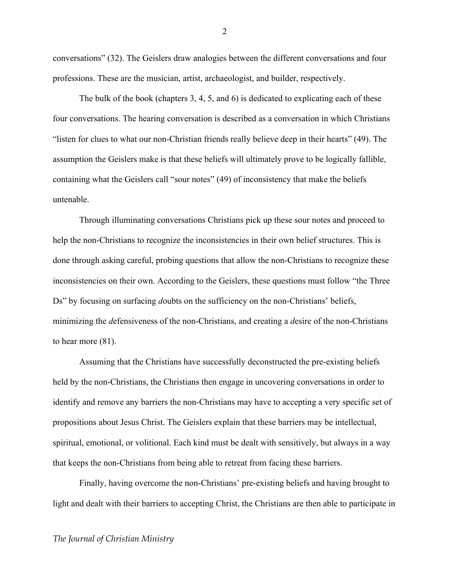conversations" (32). The Geislers draw analogies between the different conversations and four professions. These are the musician, artist, archaeologist, and builder, respectively.

The bulk of the book (chapters 3, 4, 5, and 6) is dedicated to explicating each of these four conversations. The hearing conversation is described as a conversation in which Christians "listen for clues to what our non-Christian friends really believe deep in their hearts" (49). The assumption the Geislers make is that these beliefs will ultimately prove to be logically fallible, containing what the Geislers call "sour notes" (49) of inconsistency that make the beliefs untenable.

Through illuminating conversations Christians pick up these sour notes and proceed to help the non-Christians to recognize the inconsistencies in their own belief structures. This is done through asking careful, probing questions that allow the non-Christians to recognize these inconsistencies on their own. According to the Geislers, these questions must follow "the Three Ds" by focusing on surfacing *doubts* on the sufficiency on the non-Christians' beliefs, minimizing the *d*efensiveness of the non-Christians, and creating a *d*esire of the non-Christians to hear more (81).

Assuming that the Christians have successfully deconstructed the pre-existing beliefs held by the non-Christians, the Christians then engage in uncovering conversations in order to identify and remove any barriers the non-Christians may have to accepting a very specific set of propositions about Jesus Christ. The Geislers explain that these barriers may be intellectual, spiritual, emotional, or volitional. Each kind must be dealt with sensitively, but always in a way that keeps the non-Christians from being able to retreat from facing these barriers.

Finally, having overcome the non-Christians' pre-existing beliefs and having brought to light and dealt with their barriers to accepting Christ, the Christians are then able to participate in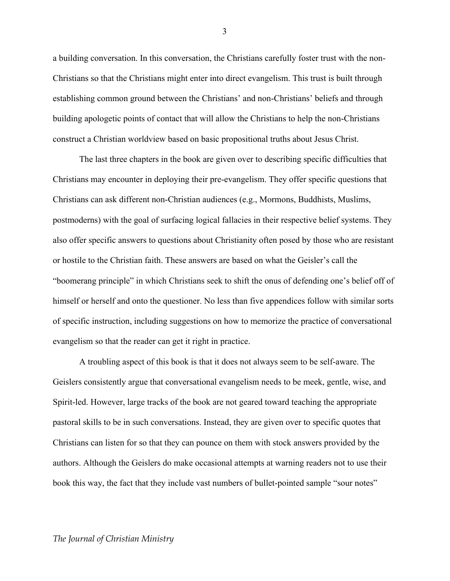a building conversation. In this conversation, the Christians carefully foster trust with the non-Christians so that the Christians might enter into direct evangelism. This trust is built through establishing common ground between the Christians' and non-Christians' beliefs and through building apologetic points of contact that will allow the Christians to help the non-Christians construct a Christian worldview based on basic propositional truths about Jesus Christ.

The last three chapters in the book are given over to describing specific difficulties that Christians may encounter in deploying their pre-evangelism. They offer specific questions that Christians can ask different non-Christian audiences (e.g., Mormons, Buddhists, Muslims, postmoderns) with the goal of surfacing logical fallacies in their respective belief systems. They also offer specific answers to questions about Christianity often posed by those who are resistant or hostile to the Christian faith. These answers are based on what the Geisler's call the "boomerang principle" in which Christians seek to shift the onus of defending one's belief off of himself or herself and onto the questioner. No less than five appendices follow with similar sorts of specific instruction, including suggestions on how to memorize the practice of conversational evangelism so that the reader can get it right in practice.

A troubling aspect of this book is that it does not always seem to be self-aware. The Geislers consistently argue that conversational evangelism needs to be meek, gentle, wise, and Spirit-led. However, large tracks of the book are not geared toward teaching the appropriate pastoral skills to be in such conversations. Instead, they are given over to specific quotes that Christians can listen for so that they can pounce on them with stock answers provided by the authors. Although the Geislers do make occasional attempts at warning readers not to use their book this way, the fact that they include vast numbers of bullet-pointed sample "sour notes"

*The Journal of Christian Ministry*

3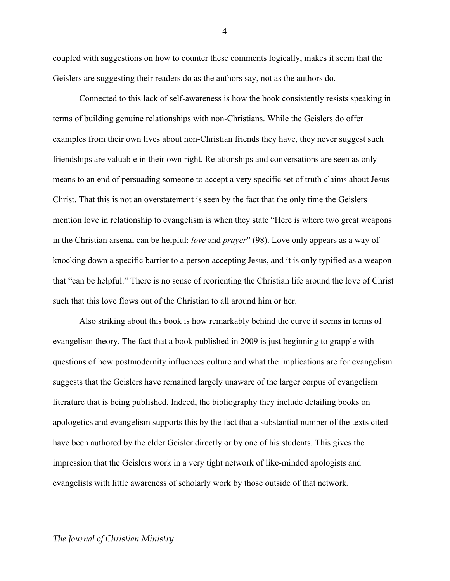coupled with suggestions on how to counter these comments logically, makes it seem that the Geislers are suggesting their readers do as the authors say, not as the authors do.

Connected to this lack of self-awareness is how the book consistently resists speaking in terms of building genuine relationships with non-Christians. While the Geislers do offer examples from their own lives about non-Christian friends they have, they never suggest such friendships are valuable in their own right. Relationships and conversations are seen as only means to an end of persuading someone to accept a very specific set of truth claims about Jesus Christ. That this is not an overstatement is seen by the fact that the only time the Geislers mention love in relationship to evangelism is when they state "Here is where two great weapons in the Christian arsenal can be helpful: *love* and *prayer*" (98). Love only appears as a way of knocking down a specific barrier to a person accepting Jesus, and it is only typified as a weapon that "can be helpful." There is no sense of reorienting the Christian life around the love of Christ such that this love flows out of the Christian to all around him or her.

Also striking about this book is how remarkably behind the curve it seems in terms of evangelism theory. The fact that a book published in 2009 is just beginning to grapple with questions of how postmodernity influences culture and what the implications are for evangelism suggests that the Geislers have remained largely unaware of the larger corpus of evangelism literature that is being published. Indeed, the bibliography they include detailing books on apologetics and evangelism supports this by the fact that a substantial number of the texts cited have been authored by the elder Geisler directly or by one of his students. This gives the impression that the Geislers work in a very tight network of like-minded apologists and evangelists with little awareness of scholarly work by those outside of that network.

4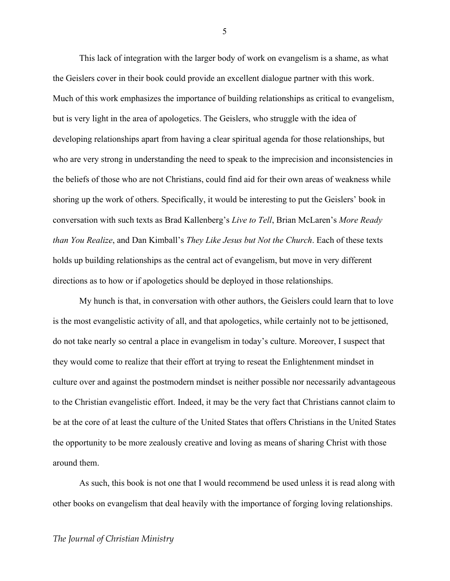This lack of integration with the larger body of work on evangelism is a shame, as what the Geislers cover in their book could provide an excellent dialogue partner with this work. Much of this work emphasizes the importance of building relationships as critical to evangelism, but is very light in the area of apologetics. The Geislers, who struggle with the idea of developing relationships apart from having a clear spiritual agenda for those relationships, but who are very strong in understanding the need to speak to the imprecision and inconsistencies in the beliefs of those who are not Christians, could find aid for their own areas of weakness while shoring up the work of others. Specifically, it would be interesting to put the Geislers' book in conversation with such texts as Brad Kallenberg's *Live to Tell*, Brian McLaren's *More Ready than You Realize*, and Dan Kimball's *They Like Jesus but Not the Church*. Each of these texts holds up building relationships as the central act of evangelism, but move in very different directions as to how or if apologetics should be deployed in those relationships.

My hunch is that, in conversation with other authors, the Geislers could learn that to love is the most evangelistic activity of all, and that apologetics, while certainly not to be jettisoned, do not take nearly so central a place in evangelism in today's culture. Moreover, I suspect that they would come to realize that their effort at trying to reseat the Enlightenment mindset in culture over and against the postmodern mindset is neither possible nor necessarily advantageous to the Christian evangelistic effort. Indeed, it may be the very fact that Christians cannot claim to be at the core of at least the culture of the United States that offers Christians in the United States the opportunity to be more zealously creative and loving as means of sharing Christ with those around them.

As such, this book is not one that I would recommend be used unless it is read along with other books on evangelism that deal heavily with the importance of forging loving relationships.

5